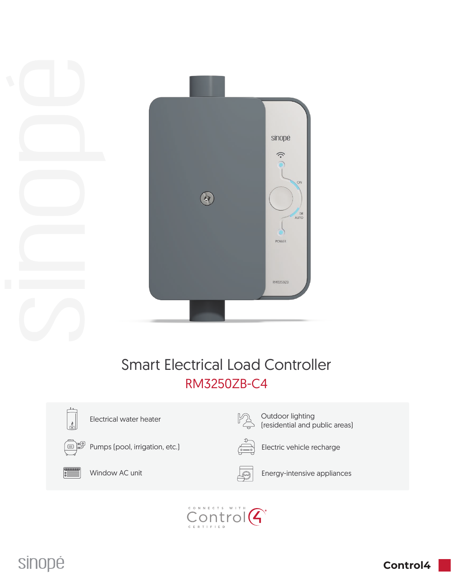

# Smart Electrical Load Controller RM3250ZB-C4



Electrical water heater



Pumps (pool, irrigation, etc.)  $\overline{\overset{\sim}{\underset{(\circ-\circ)}{}}\longrightarrow}$  Electric vehicle recharge



<u>pa</u>

(residential and public areas)

Outdoor lighting



Window AC unit **Energy-intensive appliances**